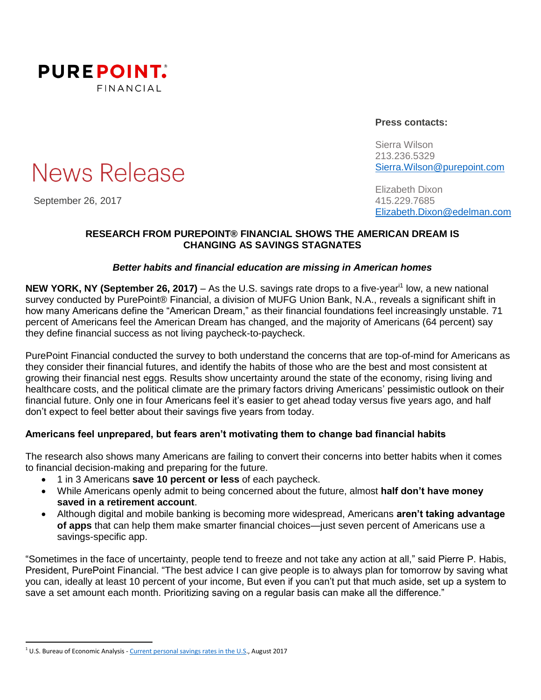

# News Release

September 26, 2017 415.229.7685

**Press contacts:**

Sierra Wilson 213.236.5329 [Sierra.Wilson@purepoint.com](mailto:Sierra.Wilson@purepoint.com)

Elizabeth Dixon [Elizabeth.Dixon@edelman.com](mailto:Elizabeth.Dixon@edelman.com)

## **RESEARCH FROM PUREPOINT® FINANCIAL SHOWS THE AMERICAN DREAM IS CHANGING AS SAVINGS STAGNATES**

# *Better habits and financial education are missing in American homes*

**NEW YORK, NY (September 26, 2017)** – As the U.S. savings rate drops to a five-year<sup>i1</sup> low, a new national survey conducted by PurePoint® Financial, a division of MUFG Union Bank, N.A., reveals a significant shift in how many Americans define the "American Dream," as their financial foundations feel increasingly unstable. 71 percent of Americans feel the American Dream has changed, and the majority of Americans (64 percent) say they define financial success as not living paycheck-to-paycheck.

PurePoint Financial conducted the survey to both understand the concerns that are top-of-mind for Americans as they consider their financial futures, and identify the habits of those who are the best and most consistent at growing their financial nest eggs. Results show uncertainty around the state of the economy, rising living and healthcare costs, and the political climate are the primary factors driving Americans' pessimistic outlook on their financial future. Only one in four Americans feel it's easier to get ahead today versus five years ago, and half don't expect to feel better about their savings five years from today.

# **Americans feel unprepared, but fears aren't motivating them to change bad financial habits**

The research also shows many Americans are failing to convert their concerns into better habits when it comes to financial decision-making and preparing for the future.

- 1 in 3 Americans **save 10 percent or less** of each paycheck.
- While Americans openly admit to being concerned about the future, almost **half don't have money saved in a retirement account**.
- Although digital and mobile banking is becoming more widespread, Americans **aren't taking advantage of apps** that can help them make smarter financial choices—just seven percent of Americans use a savings-specific app.

"Sometimes in the face of uncertainty, people tend to freeze and not take any action at all," said Pierre P. Habis, President, PurePoint Financial. "The best advice I can give people is to always plan for tomorrow by saving what you can, ideally at least 10 percent of your income, But even if you can't put that much aside, set up a system to save a set amount each month. Prioritizing saving on a regular basis can make all the difference."

 $\overline{a}$ 

<sup>&</sup>lt;sup>1</sup> U.S. Bureau of Economic Analysis - [Current personal savings rates in the U.S.,](https://tradingeconomics.com/united-states/personal-savings) August 2017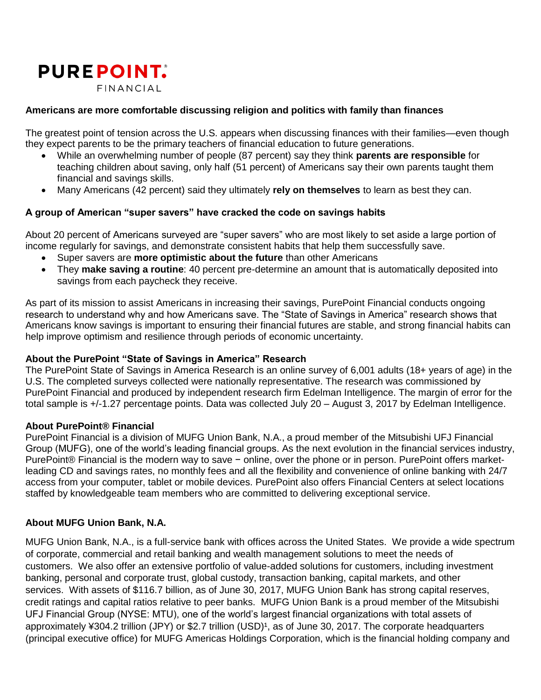

#### **Americans are more comfortable discussing religion and politics with family than finances**

The greatest point of tension across the U.S. appears when discussing finances with their families—even though they expect parents to be the primary teachers of financial education to future generations.

- While an overwhelming number of people (87 percent) say they think **parents are responsible** for teaching children about saving, only half (51 percent) of Americans say their own parents taught them financial and savings skills.
- Many Americans (42 percent) said they ultimately **rely on themselves** to learn as best they can.

#### **A group of American "super savers" have cracked the code on savings habits**

About 20 percent of Americans surveyed are "super savers" who are most likely to set aside a large portion of income regularly for savings, and demonstrate consistent habits that help them successfully save.

- Super savers are **more optimistic about the future** than other Americans
- They **make saving a routine**: 40 percent pre-determine an amount that is automatically deposited into savings from each paycheck they receive.

As part of its mission to assist Americans in increasing their savings, PurePoint Financial conducts ongoing research to understand why and how Americans save. The "State of Savings in America" research shows that Americans know savings is important to ensuring their financial futures are stable, and strong financial habits can help improve optimism and resilience through periods of economic uncertainty.

#### **About the PurePoint "State of Savings in America" Research**

The PurePoint State of Savings in America Research is an online survey of 6,001 adults (18+ years of age) in the U.S. The completed surveys collected were nationally representative. The research was commissioned by PurePoint Financial and produced by independent research firm Edelman Intelligence. The margin of error for the total sample is +/-1.27 percentage points. Data was collected July 20 – August 3, 2017 by Edelman Intelligence.

#### **About PurePoint® Financial**

PurePoint Financial is a division of MUFG Union Bank, N.A., a proud member of the Mitsubishi UFJ Financial Group (MUFG), one of the world's leading financial groups. As the next evolution in the financial services industry, PurePoint® Financial is the modern way to save – online, over the phone or in person. PurePoint offers marketleading CD and savings rates, no monthly fees and all the flexibility and convenience of online banking with 24/7 access from your computer, tablet or mobile devices. PurePoint also offers Financial Centers at select locations staffed by knowledgeable team members who are committed to delivering exceptional service.

## **About MUFG Union Bank, N.A.**

MUFG Union Bank, N.A., is a full-service bank with offices across the United States. We provide a wide spectrum of corporate, commercial and retail banking and wealth management solutions to meet the needs of customers. We also offer an extensive portfolio of value-added solutions for customers, including investment banking, personal and corporate trust, global custody, transaction banking, capital markets, and other services. With assets of \$116.7 billion, as of June 30, 2017, MUFG Union Bank has strong capital reserves, credit ratings and capital ratios relative to peer banks. MUFG Union Bank is a proud member of the Mitsubishi UFJ Financial Group (NYSE: MTU), one of the world's largest financial organizations with total assets of approximately ¥304.2 trillion (JPY) or \$2.7 trillion (USD)<sup>1</sup>, as of June 30, 2017. The corporate headquarters (principal executive office) for MUFG Americas Holdings Corporation, which is the financial holding company and